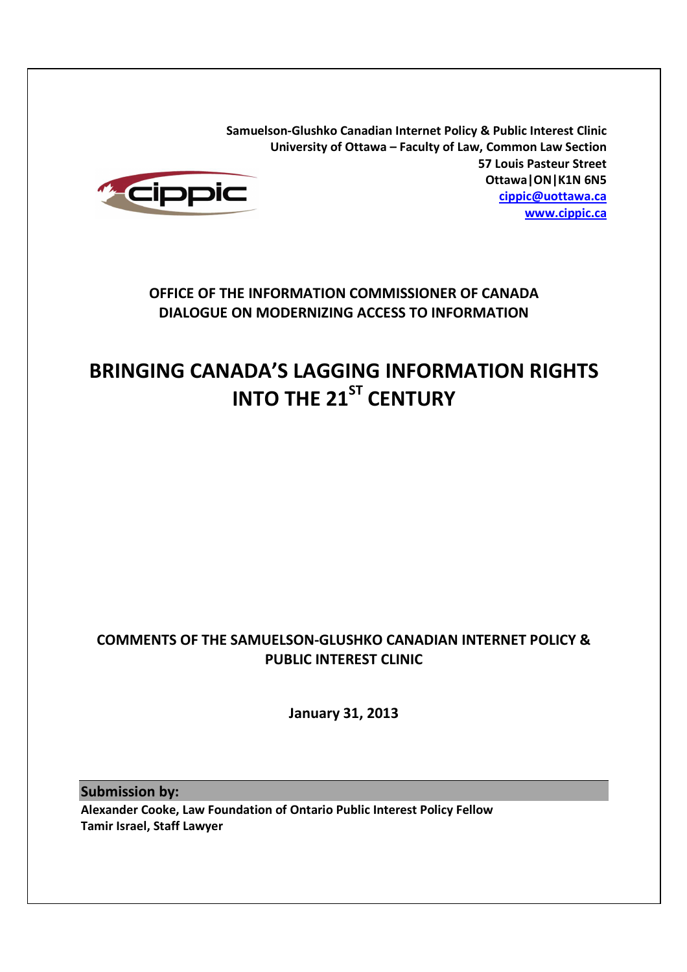**Samuelson-Glushko Canadian Internet Policy & Public Interest Clinic University of Ottawa – Faculty of Law, Common Law Section 57 Louis Pasteur Street Ottawa|ON|K1N 6N5 cippic@uottawa.ca www.cippic.ca**



# **OFFICE OF THE INFORMATION COMMISSIONER OF CANADA DIALOGUE ON MODERNIZING ACCESS TO INFORMATION**

# **BRINGING CANADA'S LAGGING INFORMATION RIGHTS INTO THE 21ST CENTURY**

# **COMMENTS OF THE SAMUELSON-GLUSHKO CANADIAN INTERNET POLICY & PUBLIC INTEREST CLINIC**

**January 31, 2013** 

**Submission by:** 

**Alexander Cooke, Law Foundation of Ontario Public Interest Policy Fellow Tamir Israel, Staff Lawyer**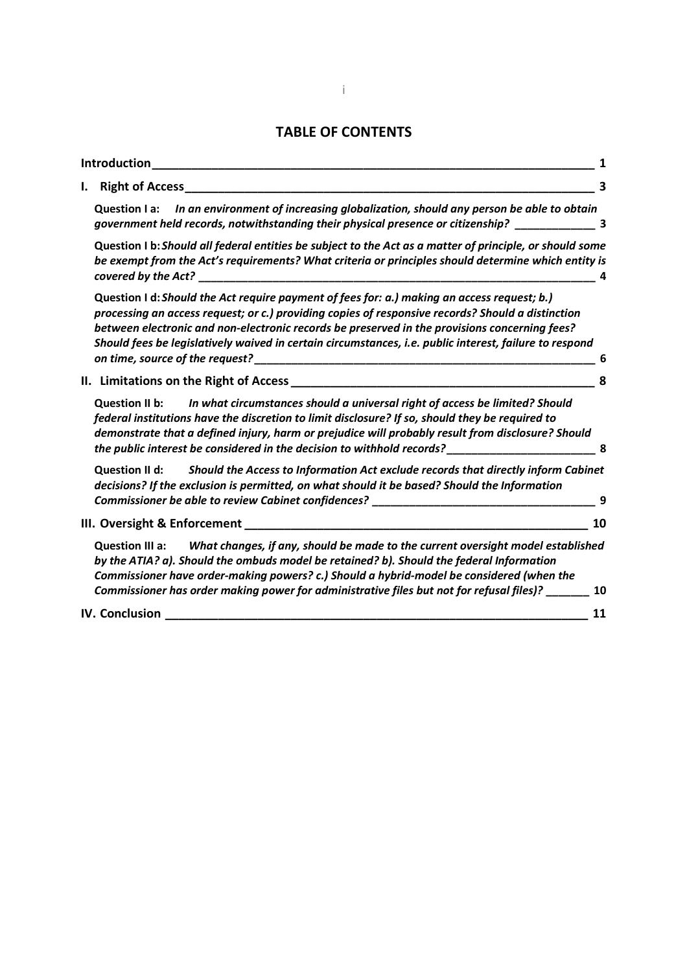# **TABLE OF CONTENTS**

| Introduction                                                                                                                                                                                                                                                                                                                                                                                                |    |
|-------------------------------------------------------------------------------------------------------------------------------------------------------------------------------------------------------------------------------------------------------------------------------------------------------------------------------------------------------------------------------------------------------------|----|
| <b>Right of Access</b>                                                                                                                                                                                                                                                                                                                                                                                      | 3  |
| In an environment of increasing globalization, should any person be able to obtain<br><b>Question I a:</b><br>government held records, notwithstanding their physical presence or citizenship? _________________ 3                                                                                                                                                                                          |    |
| Question I b: Should all federal entities be subject to the Act as a matter of principle, or should some<br>be exempt from the Act's requirements? What criteria or principles should determine which entity is<br>covered by the Act?                                                                                                                                                                      |    |
| Question I d: Should the Act require payment of fees for: a.) making an access request; b.)<br>processing an access request; or c.) providing copies of responsive records? Should a distinction<br>between electronic and non-electronic records be preserved in the provisions concerning fees?<br>Should fees be legislatively waived in certain circumstances, i.e. public interest, failure to respond | 6  |
|                                                                                                                                                                                                                                                                                                                                                                                                             | 8  |
| Question II b: In what circumstances should a universal right of access be limited? Should<br>federal institutions have the discretion to limit disclosure? If so, should they be required to<br>demonstrate that a defined injury, harm or prejudice will probably result from disclosure? Should<br>the public interest be considered in the decision to withhold records?_____________________________   | 8  |
| Should the Access to Information Act exclude records that directly inform Cabinet<br><b>Question II d:</b><br>decisions? If the exclusion is permitted, on what should it be based? Should the Information<br>Commissioner be able to review Cabinet confidences? _____________________________                                                                                                             | 9  |
| III. Oversight & Enforcement                                                                                                                                                                                                                                                                                                                                                                                | 10 |
| Question III a: What changes, if any, should be made to the current oversight model established<br>by the ATIA? a). Should the ombuds model be retained? b). Should the federal Information<br>Commissioner have order-making powers? c.) Should a hybrid-model be considered (when the<br>Commissioner has order making power for administrative files but not for refusal files)? _______                 | 10 |
| IV. Conclusion                                                                                                                                                                                                                                                                                                                                                                                              | 11 |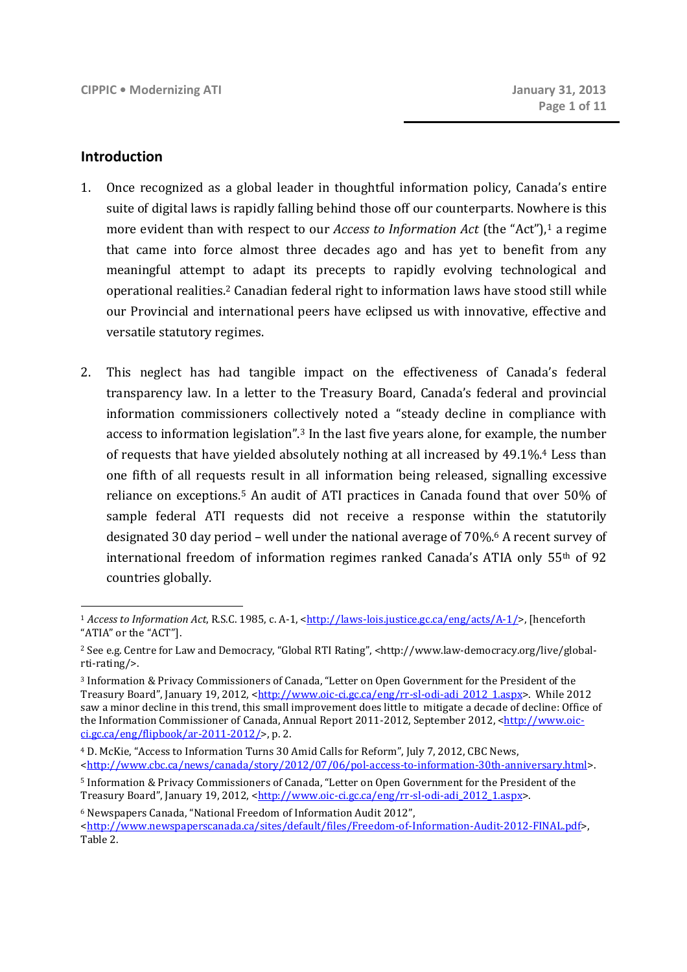#### **Introduction**

- 1. Once recognized as a global leader in thoughtful information policy, Canada's entire suite of digital laws is rapidly falling behind those off our counterparts. Nowhere is this more evident than with respect to our *Access to Information Act* (the "Act"),1 a regime that came into force almost three decades ago and has yet to benefit from any meaningful attempt to adapt its precepts to rapidly evolving technological and operational realities.<sup>2</sup> Canadian federal right to information laws have stood still while our Provincial and international peers have eclipsed us with innovative, effective and versatile statutory regimes.
- 2. This neglect has had tangible impact on the effectiveness of Canada's federal transparency law. In a letter to the Treasury Board, Canada's federal and provincial information commissioners collectively noted a "steady decline in compliance with access to information legislation".3 In the last five years alone, for example, the number of requests that have yielded absolutely nothing at all increased by 49.1%.4 Less than one fifth of all requests result in all information being released, signalling excessive reliance on exceptions.5 An audit of ATI practices in Canada found that over 50% of sample federal ATI requests did not receive a response within the statutorily designated 30 day period – well under the national average of 70%.6 A recent survey of international freedom of information regimes ranked Canada's ATIA only 55th of 92 countries globally.

<sup>1</sup> *Access to Information Act*, R.S.C. 1985, c. A-1, <http://laws-lois.justice.gc.ca/eng/acts/A-1/>, [henceforth "ATIA" or the "ACT"].

<sup>2</sup> See e.g. Centre for Law and Democracy, "Global RTI Rating", <http://www.law-democracy.org/live/globalrti-rating/>.

<sup>3</sup> Information & Privacy Commissioners of Canada, "Letter on Open Government for the President of the Treasury Board", January 19, 2012, <http://www.oic-ci.gc.ca/eng/rr-sl-odi-adi\_2012\_1.aspx>. While 2012 saw a minor decline in this trend, this small improvement does little to mitigate a decade of decline: Office of the Information Commissioner of Canada, Annual Report 2011-2012, September 2012, <http://www.oicci.gc.ca/eng/flipbook/ar-2011-2012/>, p. 2.

<sup>4</sup> D. McKie, "Access to Information Turns 30 Amid Calls for Reform", July 7, 2012, CBC News, <http://www.cbc.ca/news/canada/story/2012/07/06/pol-access-to-information-30th-anniversary.html>.

<sup>5</sup> Information & Privacy Commissioners of Canada, "Letter on Open Government for the President of the Treasury Board", January 19, 2012, <http://www.oic-ci.gc.ca/eng/rr-sl-odi-adi\_2012\_1.aspx>.

<sup>6</sup> Newspapers Canada, "National Freedom of Information Audit 2012",

<sup>&</sup>lt;http://www.newspaperscanada.ca/sites/default/files/Freedom-of-Information-Audit-2012-FINAL.pdf>, Table 2.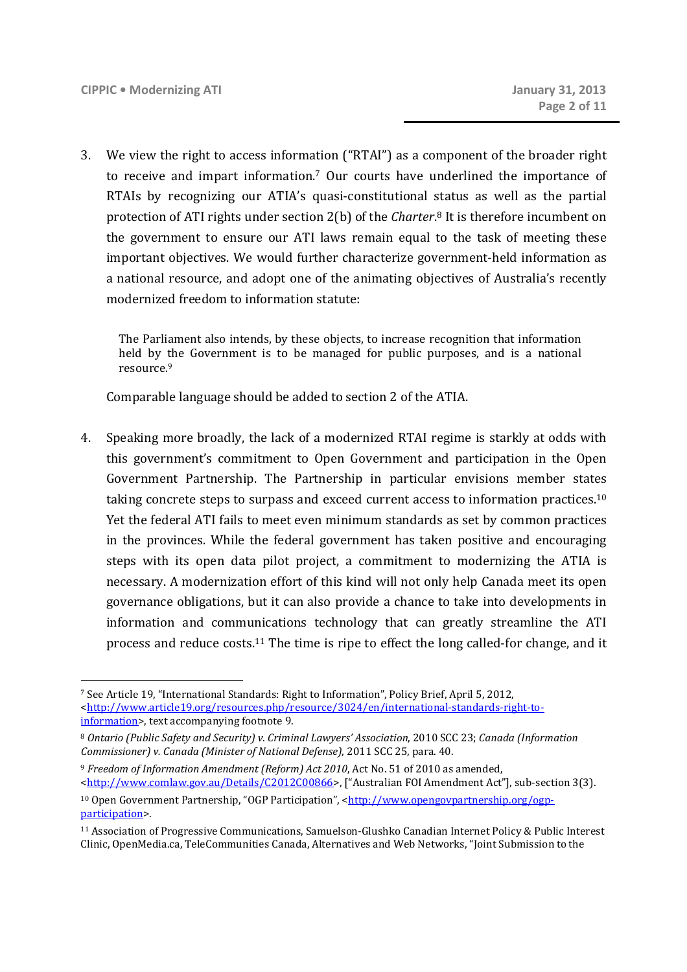3. We view the right to access information ("RTAI") as a component of the broader right to receive and impart information.<sup>7</sup> Our courts have underlined the importance of RTAIs by recognizing our ATIA's quasi-constitutional status as well as the partial protection of ATI rights under section 2(b) of the *Charter*. <sup>8</sup> It is therefore incumbent on the government to ensure our ATI laws remain equal to the task of meeting these important objectives. We would further characterize government-held information as a national resource, and adopt one of the animating objectives of Australia's recently modernized freedom to information statute:

The Parliament also intends, by these objects, to increase recognition that information held by the Government is to be managed for public purposes, and is a national resource.<sup>9</sup>

Comparable language should be added to section 2 of the ATIA.

4. Speaking more broadly, the lack of a modernized RTAI regime is starkly at odds with this government's commitment to Open Government and participation in the Open Government Partnership. The Partnership in particular envisions member states taking concrete steps to surpass and exceed current access to information practices.<sup>10</sup> Yet the federal ATI fails to meet even minimum standards as set by common practices in the provinces. While the federal government has taken positive and encouraging steps with its open data pilot project, a commitment to modernizing the ATIA is necessary. A modernization effort of this kind will not only help Canada meet its open governance obligations, but it can also provide a chance to take into developments in information and communications technology that can greatly streamline the ATI process and reduce costs.11 The time is ripe to effect the long called-for change, and it

<sup>7</sup> See Article 19, "International Standards: Right to Information", Policy Brief, April 5, 2012, <http://www.article19.org/resources.php/resource/3024/en/international-standards-right-toinformation>, text accompanying footnote 9.

<sup>8</sup> *Ontario (Public Safety and Security) v. Criminal Lawyers' Association*, 2010 SCC 23; *Canada (Information Commissioner) v. Canada (Minister of National Defense)*, 2011 SCC 25, para. 40.

<sup>9</sup> *Freedom of Information Amendment (Reform) Act 2010*, Act No. 51 of 2010 as amended, <http://www.comlaw.gov.au/Details/C2012C00866>, ["Australian FOI Amendment Act"], sub-section 3(3).

<sup>&</sup>lt;sup>10</sup> Open Government Partnership, "OGP Participation", <http://www.opengovpartnership.org/ogpparticipation>.

<sup>11</sup> Association of Progressive Communications, Samuelson-Glushko Canadian Internet Policy & Public Interest Clinic, OpenMedia.ca, TeleCommunities Canada, Alternatives and Web Networks, "Joint Submission to the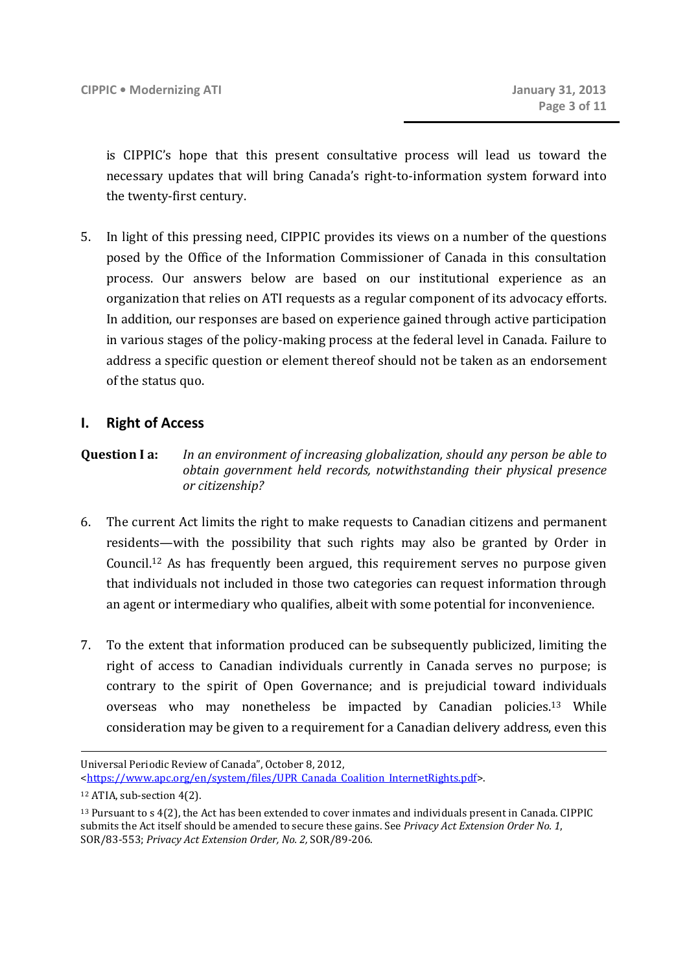is CIPPIC's hope that this present consultative process will lead us toward the necessary updates that will bring Canada's right-to-information system forward into the twenty-first century.

5. In light of this pressing need, CIPPIC provides its views on a number of the questions posed by the Office of the Information Commissioner of Canada in this consultation process. Our answers below are based on our institutional experience as an organization that relies on ATI requests as a regular component of its advocacy efforts. In addition, our responses are based on experience gained through active participation in various stages of the policy-making process at the federal level in Canada. Failure to address a specific question or element thereof should not be taken as an endorsement of the status quo.

## **I. Right of Access**

## **Question I a:** *In an environment of increasing globalization, should any person be able to obtain government held records, notwithstanding their physical presence or citizenship?*

- 6. The current Act limits the right to make requests to Canadian citizens and permanent residents—with the possibility that such rights may also be granted by Order in Council.12 As has frequently been argued, this requirement serves no purpose given that individuals not included in those two categories can request information through an agent or intermediary who qualifies, albeit with some potential for inconvenience.
- 7. To the extent that information produced can be subsequently publicized, limiting the right of access to Canadian individuals currently in Canada serves no purpose; is contrary to the spirit of Open Governance; and is prejudicial toward individuals overseas who may nonetheless be impacted by Canadian policies.<sup>13</sup> While consideration may be given to a requirement for a Canadian delivery address, even this

<u>.</u>

Universal Periodic Review of Canada", October 8, 2012, <https://www.apc.org/en/system/files/UPR\_Canada\_Coalition\_InternetRights.pdf>.

<sup>12</sup> ATIA, sub-section 4(2).

<sup>13</sup> Pursuant to s 4(2), the Act has been extended to cover inmates and individuals present in Canada. CIPPIC submits the Act itself should be amended to secure these gains. See *Privacy Act Extension Order No. 1*, SOR/83-553; *Privacy Act Extension Order, No. 2,* SOR/89-206.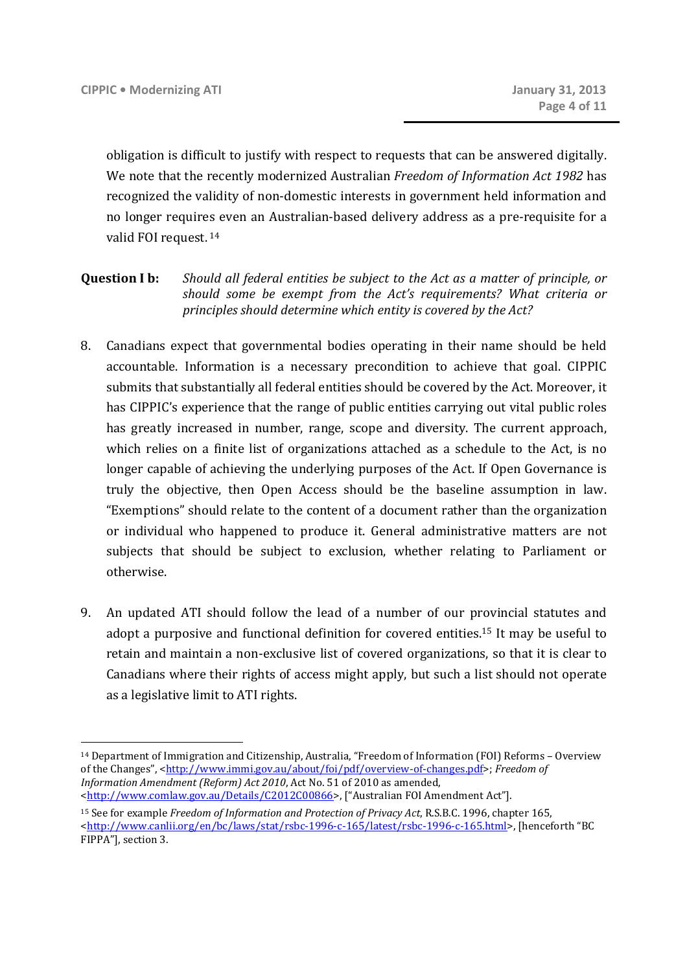obligation is difficult to justify with respect to requests that can be answered digitally. We note that the recently modernized Australian *Freedom of Information Act 1982* has recognized the validity of non-domestic interests in government held information and no longer requires even an Australian-based delivery address as a pre-requisite for a valid FOI request.<sup>14</sup>

- **Question I b:** *Should all federal entities be subject to the Act as a matter of principle, or should some be exempt from the Act's requirements? What criteria or principles should determine which entity is covered by the Act?*
- 8. Canadians expect that governmental bodies operating in their name should be held accountable. Information is a necessary precondition to achieve that goal. CIPPIC submits that substantially all federal entities should be covered by the Act. Moreover, it has CIPPIC's experience that the range of public entities carrying out vital public roles has greatly increased in number, range, scope and diversity. The current approach, which relies on a finite list of organizations attached as a schedule to the Act, is no longer capable of achieving the underlying purposes of the Act. If Open Governance is truly the objective, then Open Access should be the baseline assumption in law. "Exemptions" should relate to the content of a document rather than the organization or individual who happened to produce it. General administrative matters are not subjects that should be subject to exclusion, whether relating to Parliament or otherwise.
- 9. An updated ATI should follow the lead of a number of our provincial statutes and adopt a purposive and functional definition for covered entities.15 It may be useful to retain and maintain a non-exclusive list of covered organizations, so that it is clear to Canadians where their rights of access might apply, but such a list should not operate as a legislative limit to ATI rights.

<sup>14</sup> Department of Immigration and Citizenship, Australia, "Freedom of Information (FOI) Reforms – Overview of the Changes", <http://www.immi.gov.au/about/foi/pdf/overview-of-changes.pdf>; *Freedom of Information Amendment (Reform) Act 2010*, Act No. 51 of 2010 as amended, <http://www.comlaw.gov.au/Details/C2012C00866>, ["Australian FOI Amendment Act"].

<sup>15</sup> See for example *Freedom of Information and Protection of Privacy Act*, R.S.B.C. 1996, chapter 165, <http://www.canlii.org/en/bc/laws/stat/rsbc-1996-c-165/latest/rsbc-1996-c-165.html>, [henceforth "BC FIPPA"], section 3.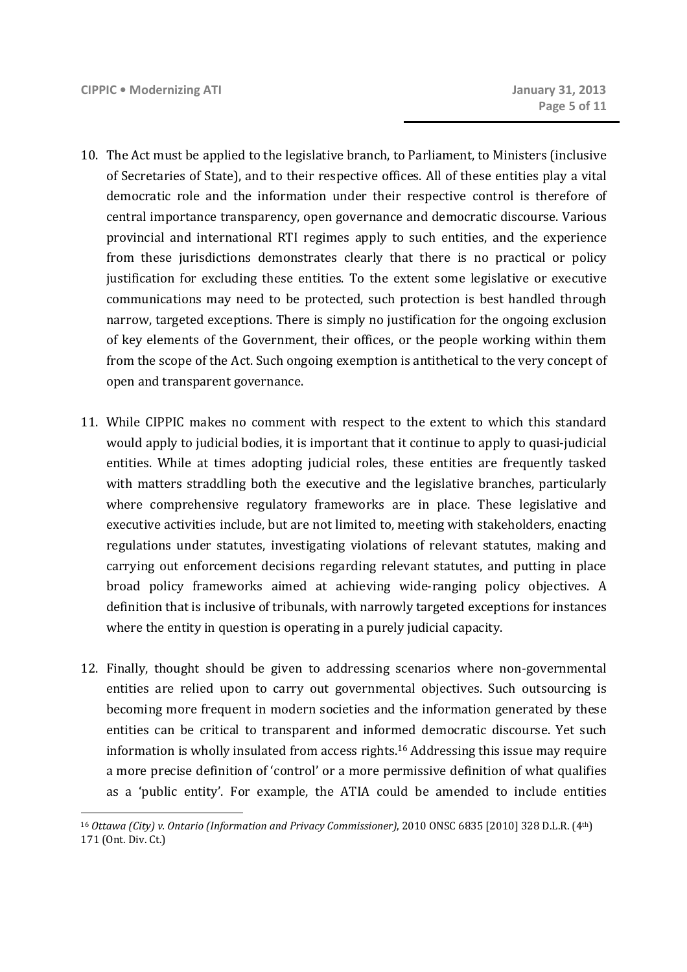- 10. The Act must be applied to the legislative branch, to Parliament, to Ministers (inclusive of Secretaries of State), and to their respective offices. All of these entities play a vital democratic role and the information under their respective control is therefore of central importance transparency, open governance and democratic discourse. Various provincial and international RTI regimes apply to such entities, and the experience from these jurisdictions demonstrates clearly that there is no practical or policy justification for excluding these entities. To the extent some legislative or executive communications may need to be protected, such protection is best handled through narrow, targeted exceptions. There is simply no justification for the ongoing exclusion of key elements of the Government, their offices, or the people working within them from the scope of the Act. Such ongoing exemption is antithetical to the very concept of open and transparent governance.
- 11. While CIPPIC makes no comment with respect to the extent to which this standard would apply to judicial bodies, it is important that it continue to apply to quasi-judicial entities. While at times adopting judicial roles, these entities are frequently tasked with matters straddling both the executive and the legislative branches, particularly where comprehensive regulatory frameworks are in place. These legislative and executive activities include, but are not limited to, meeting with stakeholders, enacting regulations under statutes, investigating violations of relevant statutes, making and carrying out enforcement decisions regarding relevant statutes, and putting in place broad policy frameworks aimed at achieving wide-ranging policy objectives. A definition that is inclusive of tribunals, with narrowly targeted exceptions for instances where the entity in question is operating in a purely judicial capacity.
- 12. Finally, thought should be given to addressing scenarios where non-governmental entities are relied upon to carry out governmental objectives. Such outsourcing is becoming more frequent in modern societies and the information generated by these entities can be critical to transparent and informed democratic discourse. Yet such information is wholly insulated from access rights.16 Addressing this issue may require a more precise definition of 'control' or a more permissive definition of what qualifies as a 'public entity'. For example, the ATIA could be amended to include entities

<sup>16</sup> *Ottawa (City) v. Ontario (Information and Privacy Commissioner)*, 2010 ONSC 6835 [2010] 328 D.L.R. (4th) 171 (Ont. Div. Ct.)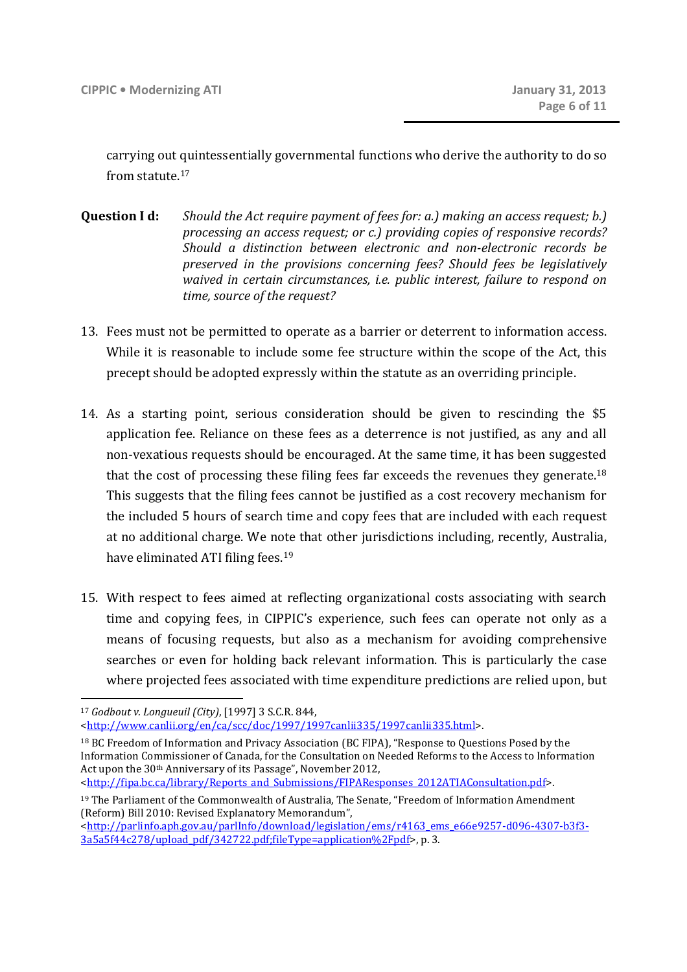carrying out quintessentially governmental functions who derive the authority to do so from statute 17

- **Question I d:** *Should the Act require payment of fees for: a.) making an access request; b.) processing an access request; or c.) providing copies of responsive records? Should a distinction between electronic and non-electronic records be preserved in the provisions concerning fees? Should fees be legislatively waived in certain circumstances, i.e. public interest, failure to respond on time, source of the request?*
- 13. Fees must not be permitted to operate as a barrier or deterrent to information access. While it is reasonable to include some fee structure within the scope of the Act, this precept should be adopted expressly within the statute as an overriding principle.
- 14. As a starting point, serious consideration should be given to rescinding the \$5 application fee. Reliance on these fees as a deterrence is not justified, as any and all non-vexatious requests should be encouraged. At the same time, it has been suggested that the cost of processing these filing fees far exceeds the revenues they generate.<sup>18</sup> This suggests that the filing fees cannot be justified as a cost recovery mechanism for the included 5 hours of search time and copy fees that are included with each request at no additional charge. We note that other jurisdictions including, recently, Australia, have eliminated ATI filing fees.<sup>19</sup>
- 15. With respect to fees aimed at reflecting organizational costs associating with search time and copying fees, in CIPPIC's experience, such fees can operate not only as a means of focusing requests, but also as a mechanism for avoiding comprehensive searches or even for holding back relevant information. This is particularly the case where projected fees associated with time expenditure predictions are relied upon, but

<sup>17</sup> *Godbout v. Longueuil (City)*, [1997] 3 S.C.R. 844,

<sup>&</sup>lt;http://www.canlii.org/en/ca/scc/doc/1997/1997canlii335/1997canlii335.html>.

<sup>18</sup> BC Freedom of Information and Privacy Association (BC FIPA), "Response to Questions Posed by the Information Commissioner of Canada, for the Consultation on Needed Reforms to the Access to Information Act upon the 30th Anniversary of its Passage", November 2012, <http://fipa.bc.ca/library/Reports\_and\_Submissions/FIPAResponses\_2012ATIAConsultation.pdf>.

<sup>19</sup> The Parliament of the Commonwealth of Australia, The Senate, "Freedom of Information Amendment (Reform) Bill 2010: Revised Explanatory Memorandum",

<sup>&</sup>lt;http://parlinfo.aph.gov.au/parlInfo/download/legislation/ems/r4163\_ems\_e66e9257-d096-4307-b3f3- 3a5a5f44c278/upload\_pdf/342722.pdf;fileType=application%2Fpdf>, p. 3.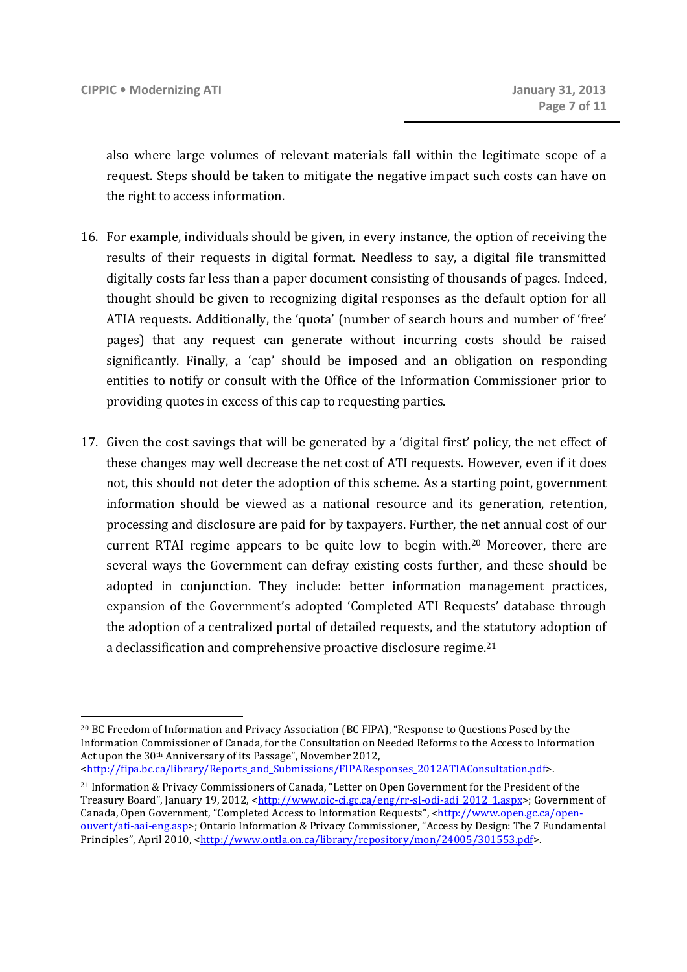also where large volumes of relevant materials fall within the legitimate scope of a request. Steps should be taken to mitigate the negative impact such costs can have on the right to access information.

- 16. For example, individuals should be given, in every instance, the option of receiving the results of their requests in digital format. Needless to say, a digital file transmitted digitally costs far less than a paper document consisting of thousands of pages. Indeed, thought should be given to recognizing digital responses as the default option for all ATIA requests. Additionally, the 'quota' (number of search hours and number of 'free' pages) that any request can generate without incurring costs should be raised significantly. Finally, a 'cap' should be imposed and an obligation on responding entities to notify or consult with the Office of the Information Commissioner prior to providing quotes in excess of this cap to requesting parties.
- 17. Given the cost savings that will be generated by a 'digital first' policy, the net effect of these changes may well decrease the net cost of ATI requests. However, even if it does not, this should not deter the adoption of this scheme. As a starting point, government information should be viewed as a national resource and its generation, retention, processing and disclosure are paid for by taxpayers. Further, the net annual cost of our current RTAI regime appears to be quite low to begin with.<sup>20</sup> Moreover, there are several ways the Government can defray existing costs further, and these should be adopted in conjunction. They include: better information management practices, expansion of the Government's adopted 'Completed ATI Requests' database through the adoption of a centralized portal of detailed requests, and the statutory adoption of a declassification and comprehensive proactive disclosure regime.<sup>21</sup>

<sup>&</sup>lt;u>.</u> <sup>20</sup> BC Freedom of Information and Privacy Association (BC FIPA), "Response to Questions Posed by the Information Commissioner of Canada, for the Consultation on Needed Reforms to the Access to Information Act upon the 30th Anniversary of its Passage", November 2012,

<sup>&</sup>lt;http://fipa.bc.ca/library/Reports\_and\_Submissions/FIPAResponses\_2012ATIAConsultation.pdf>.

<sup>21</sup> Information & Privacy Commissioners of Canada, "Letter on Open Government for the President of the Treasury Board", January 19, 2012, <http://www.oic-ci.gc.ca/eng/rr-sl-odi-adi\_2012\_1.aspx>; Government of Canada, Open Government, "Completed Access to Information Requests", <http://www.open.gc.ca/openouvert/ati-aai-eng.asp>; Ontario Information & Privacy Commissioner, "Access by Design: The 7 Fundamental Principles", April 2010, <http://www.ontla.on.ca/library/repository/mon/24005/301553.pdf>.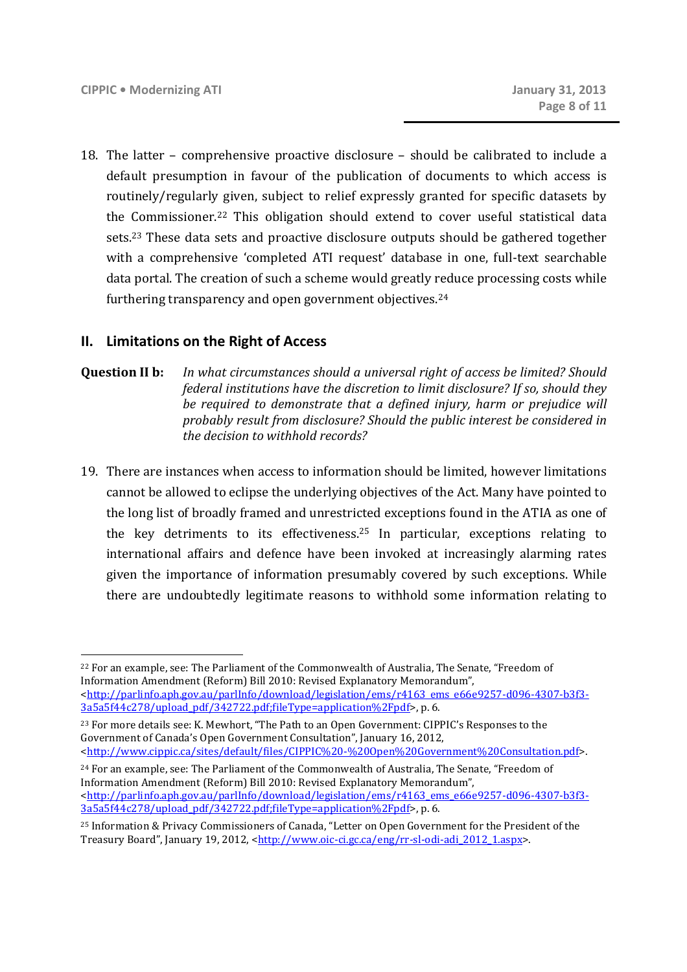18. The latter – comprehensive proactive disclosure – should be calibrated to include a default presumption in favour of the publication of documents to which access is routinely/regularly given, subject to relief expressly granted for specific datasets by the Commissioner.22 This obligation should extend to cover useful statistical data sets.23 These data sets and proactive disclosure outputs should be gathered together with a comprehensive 'completed ATI request' database in one, full-text searchable data portal. The creation of such a scheme would greatly reduce processing costs while furthering transparency and open government objectives.<sup>24</sup>

# **II. Limitations on the Right of Access**

#### **Question II b:** *In what circumstances should a universal right of access be limited? Should federal institutions have the discretion to limit disclosure? If so, should they be required to demonstrate that a defined injury, harm or prejudice will probably result from disclosure? Should the public interest be considered in the decision to withhold records?*

19. There are instances when access to information should be limited, however limitations cannot be allowed to eclipse the underlying objectives of the Act. Many have pointed to the long list of broadly framed and unrestricted exceptions found in the ATIA as one of the key detriments to its effectiveness.<sup>25</sup> In particular, exceptions relating to international affairs and defence have been invoked at increasingly alarming rates given the importance of information presumably covered by such exceptions. While there are undoubtedly legitimate reasons to withhold some information relating to

<sup>22</sup> For an example, see: The Parliament of the Commonwealth of Australia, The Senate, "Freedom of Information Amendment (Reform) Bill 2010: Revised Explanatory Memorandum", <http://parlinfo.aph.gov.au/parlInfo/download/legislation/ems/r4163\_ems\_e66e9257-d096-4307-b3f3- 3a5a5f44c278/upload\_pdf/342722.pdf;fileType=application%2Fpdf>, p. 6.

<sup>23</sup> For more details see: K. Mewhort, "The Path to an Open Government: CIPPIC's Responses to the Government of Canada's Open Government Consultation", January 16, 2012, <http://www.cippic.ca/sites/default/files/CIPPIC%20-%20Open%20Government%20Consultation.pdf>.

<sup>&</sup>lt;sup>24</sup> For an example, see: The Parliament of the Commonwealth of Australia, The Senate, "Freedom of Information Amendment (Reform) Bill 2010: Revised Explanatory Memorandum", <http://parlinfo.aph.gov.au/parlInfo/download/legislation/ems/r4163\_ems\_e66e9257-d096-4307-b3f3- 3a5a5f44c278/upload\_pdf/342722.pdf;fileType=application%2Fpdf>, p. 6.

<sup>25</sup> Information & Privacy Commissioners of Canada, "Letter on Open Government for the President of the Treasury Board", January 19, 2012, <http://www.oic-ci.gc.ca/eng/rr-sl-odi-adi\_2012\_1.aspx>.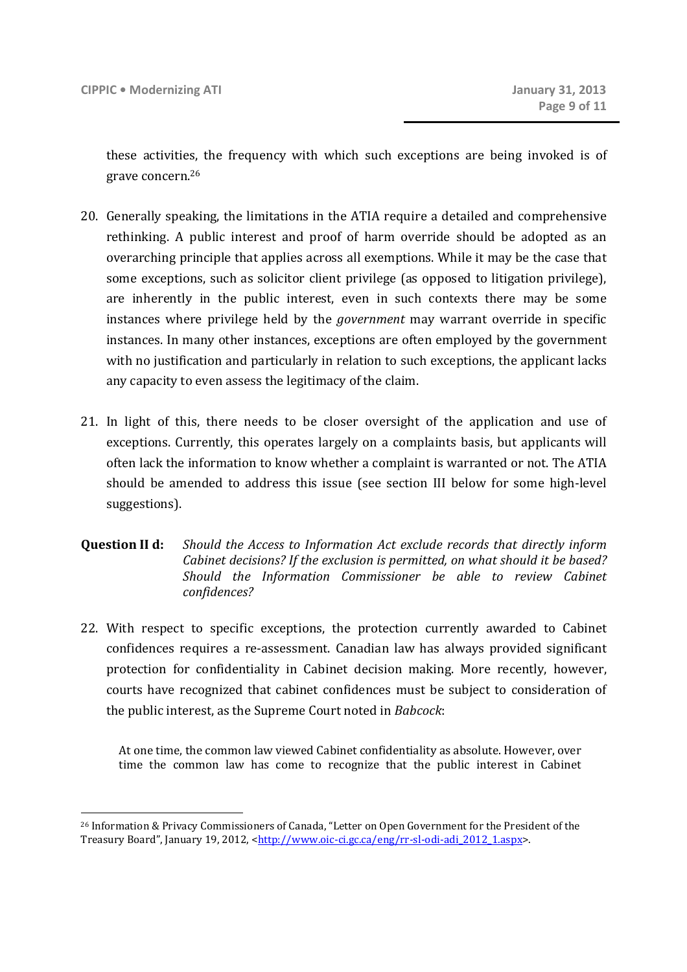these activities, the frequency with which such exceptions are being invoked is of grave concern.<sup>26</sup>

- 20. Generally speaking, the limitations in the ATIA require a detailed and comprehensive rethinking. A public interest and proof of harm override should be adopted as an overarching principle that applies across all exemptions. While it may be the case that some exceptions, such as solicitor client privilege (as opposed to litigation privilege), are inherently in the public interest, even in such contexts there may be some instances where privilege held by the *government* may warrant override in specific instances. In many other instances, exceptions are often employed by the government with no justification and particularly in relation to such exceptions, the applicant lacks any capacity to even assess the legitimacy of the claim.
- 21. In light of this, there needs to be closer oversight of the application and use of exceptions. Currently, this operates largely on a complaints basis, but applicants will often lack the information to know whether a complaint is warranted or not. The ATIA should be amended to address this issue (see section III below for some high-level suggestions).
- **Question II d:** *Should the Access to Information Act exclude records that directly inform Cabinet decisions? If the exclusion is permitted, on what should it be based? Should the Information Commissioner be able to review Cabinet confidences?*
- 22. With respect to specific exceptions, the protection currently awarded to Cabinet confidences requires a re-assessment. Canadian law has always provided significant protection for confidentiality in Cabinet decision making. More recently, however, courts have recognized that cabinet confidences must be subject to consideration of the public interest, as the Supreme Court noted in *Babcock*:

At one time, the common law viewed Cabinet confidentiality as absolute. However, over time the common law has come to recognize that the public interest in Cabinet

<sup>26</sup> Information & Privacy Commissioners of Canada, "Letter on Open Government for the President of the Treasury Board", January 19, 2012, <http://www.oic-ci.gc.ca/eng/rr-sl-odi-adi\_2012\_1.aspx>.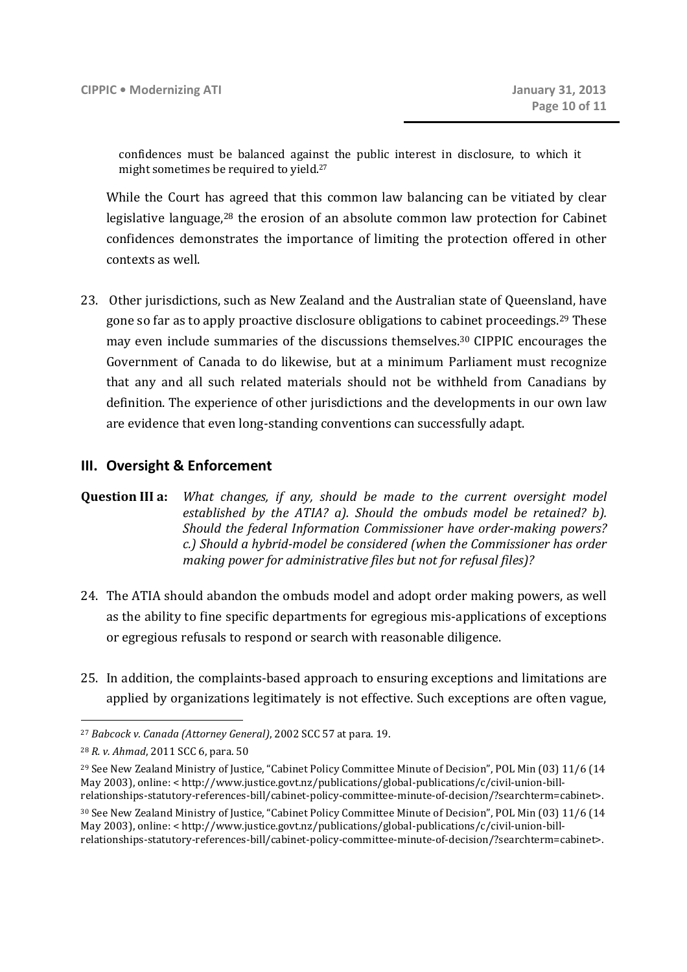confidences must be balanced against the public interest in disclosure, to which it might sometimes be required to yield.<sup>27</sup>

While the Court has agreed that this common law balancing can be vitiated by clear legislative language,<sup>28</sup> the erosion of an absolute common law protection for Cabinet confidences demonstrates the importance of limiting the protection offered in other contexts as well.

23. Other jurisdictions, such as New Zealand and the Australian state of Queensland, have gone so far as to apply proactive disclosure obligations to cabinet proceedings.29 These may even include summaries of the discussions themselves.<sup>30</sup> CIPPIC encourages the Government of Canada to do likewise, but at a minimum Parliament must recognize that any and all such related materials should not be withheld from Canadians by definition. The experience of other jurisdictions and the developments in our own law are evidence that even long-standing conventions can successfully adapt.

#### **III. Oversight & Enforcement**

**Question III a:** *What changes, if any, should be made to the current oversight model established by the ATIA? a). Should the ombuds model be retained? b). Should the federal Information Commissioner have order-making powers? c.) Should a hybrid-model be considered (when the Commissioner has order making power for administrative files but not for refusal files)?* 

- 24. The ATIA should abandon the ombuds model and adopt order making powers, as well as the ability to fine specific departments for egregious mis-applications of exceptions or egregious refusals to respond or search with reasonable diligence.
- 25. In addition, the complaints-based approach to ensuring exceptions and limitations are applied by organizations legitimately is not effective. Such exceptions are often vague,

<sup>27</sup> *Babcock v. Canada (Attorney General)*, 2002 SCC 57 at para. 19.

<sup>28</sup> *R. v. Ahmad*, 2011 SCC 6, para. 50

<sup>&</sup>lt;sup>29</sup> See New Zealand Ministry of Justice, "Cabinet Policy Committee Minute of Decision", POL Min (03) 11/6 (14 May 2003), online: < http://www.justice.govt.nz/publications/global-publications/c/civil-union-billrelationships-statutory-references-bill/cabinet-policy-committee-minute-of-decision/?searchterm=cabinet>.

<sup>30</sup> See New Zealand Ministry of Justice, "Cabinet Policy Committee Minute of Decision", POL Min (03) 11/6 (14 May 2003), online: < http://www.justice.govt.nz/publications/global-publications/c/civil-union-billrelationships-statutory-references-bill/cabinet-policy-committee-minute-of-decision/?searchterm=cabinet>.